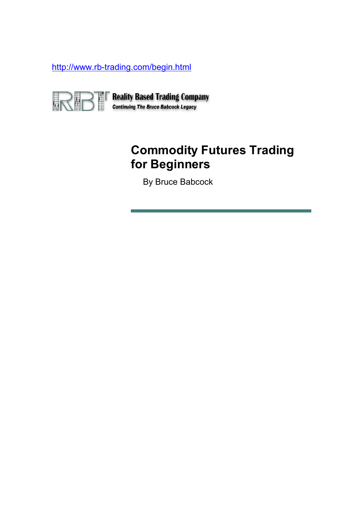http://www.rb-trading.com/begin.html



**Reality Based Trading Company**<br>Continuing The Bruce Babcock Legacy

# **Commodity Futures Trading for Beginners**

**By Bruce Babcock**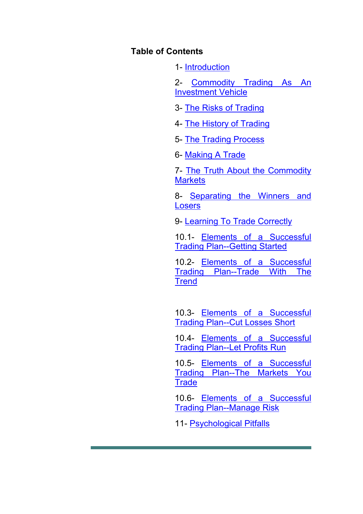#### **Table of Contents**

1- Introduction

2- Commodity Trading As An Investment Vehicle

3- The Risks of Trading

4- The History of Trading

5- The Trading Process

6- Making A Trade

7- The Truth About the Commodity **Markets** 

8- Separating the Winners and Losers

9- Learning To Trade Correctly

10.1- Elements of a Successful Trading Plan--Getting Started

10.2- Elements of a Successful Trading Plan--Trade With The **Trend** 

10.3- Elements of a Successful Trading Plan--Cut Losses Short

10.4- Elements of a Successful Trading Plan--Let Profits Run

10.5- Elements of a Successful Trading Plan--The Markets You **Trade** 

10.6- Elements of a Successful Trading Plan--Manage Risk

11- Psychological Pitfalls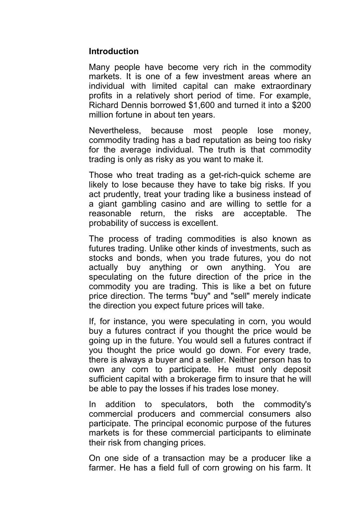#### **Introduction**

Many people have become very rich in the commodity markets. It is one of a few investment areas where an individual with limited capital can make extraordinary profits in a relatively short period of time. For example, Richard Dennis borrowed \$1,600 and turned it into a \$200 million fortune in about ten years.

Nevertheless, because most people lose money, commodity trading has a bad reputation as being too risky for the average individual. The truth is that commodity trading is only as risky as you want to make it.

Those who treat trading as a get-rich-quick scheme are likely to lose because they have to take big risks. If you act prudently, treat your trading like a business instead of a giant gambling casino and are willing to settle for a reasonable return, the risks are acceptable. The probability of success is excellent.

The process of trading commodities is also known as futures trading. Unlike other kinds of investments, such as stocks and bonds, when you trade futures, you do not actually buy anything or own anything. You are speculating on the future direction of the price in the commodity you are trading. This is like a bet on future price direction. The terms "buy" and "sell" merely indicate the direction you expect future prices will take.

If, for instance, you were speculating in corn, you would buy a futures contract if you thought the price would be going up in the future. You would sell a futures contract if you thought the price would go down. For every trade, there is always a buyer and a seller. Neither person has to own any corn to participate. He must only deposit sufficient capital with a brokerage firm to insure that he will be able to pay the losses if his trades lose money.

In addition to speculators, both the commodity's commercial producers and commercial consumers also participate. The principal economic purpose of the futures markets is for these commercial participants to eliminate their risk from changing prices.

On one side of a transaction may be a producer like a farmer. He has a field full of corn growing on his farm. It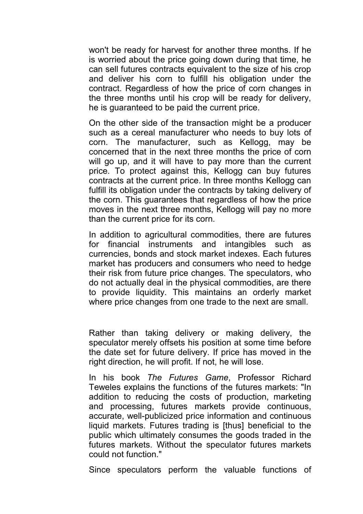won't be ready for harvest for another three months. If he is worried about the price going down during that time, he can sell futures contracts equivalent to the size of his crop and deliver his corn to fulfill his obligation under the contract. Regardless of how the price of corn changes in the three months until his crop will be ready for delivery, he is guaranteed to be paid the current price.

On the other side of the transaction might be a producer such as a cereal manufacturer who needs to buy lots of corn. The manufacturer, such as Kellogg, may be concerned that in the next three months the price of corn will go up, and it will have to pay more than the current price. To protect against this, Kellogg can buy futures contracts at the current price. In three months Kellogg can fulfill its obligation under the contracts by taking delivery of the corn. This guarantees that regardless of how the price moves in the next three months, Kellogg will pay no more than the current price for its corn.

In addition to agricultural commodities, there are futures for financial instruments and intangibles such as currencies, bonds and stock market indexes. Each futures market has producers and consumers who need to hedge their risk from future price changes. The speculators, who do not actually deal in the physical commodities, are there to provide liquidity. This maintains an orderly market where price changes from one trade to the next are small.

Rather than taking delivery or making delivery, the speculator merely offsets his position at some time before the date set for future delivery. If price has moved in the right direction, he will profit. If not, he will lose.

In his book *The Futures Game*, Professor Richard Teweles explains the functions of the futures markets: "In addition to reducing the costs of production, marketing and processing, futures markets provide continuous, accurate, well-publicized price information and continuous liquid markets. Futures trading is [thus] beneficial to the public which ultimately consumes the goods traded in the futures markets. Without the speculator futures markets could not function."

Since speculators perform the valuable functions of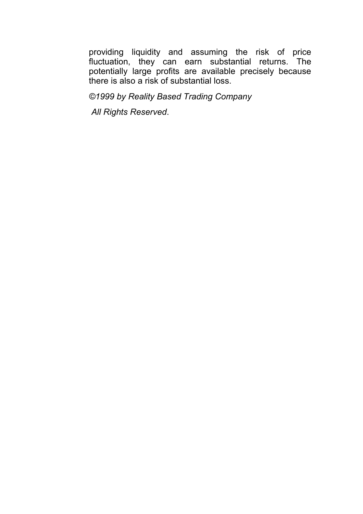providing liquidity and assuming the risk of price fluctuation, they can earn substantial returns. The potentially large profits are available precisely because there is also a risk of substantial loss.

*©1999 by Reality Based Trading Company*

 *All Rights Reserved*.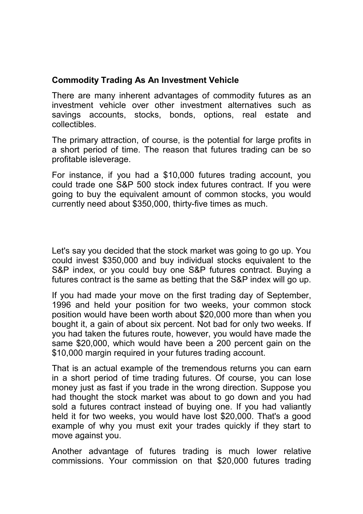### **Commodity Trading As An Investment Vehicle**

There are many inherent advantages of commodity futures as an investment vehicle over other investment alternatives such as savings accounts, stocks, bonds, options, real estate and collectibles.

The primary attraction, of course, is the potential for large profits in a short period of time. The reason that futures trading can be so profitable isleverage.

For instance, if you had a \$10,000 futures trading account, you could trade one S&P 500 stock index futures contract. If you were going to buy the equivalent amount of common stocks, you would currently need about \$350,000, thirty-five times as much.

Let's say you decided that the stock market was going to go up. You could invest \$350,000 and buy individual stocks equivalent to the S&P index, or you could buy one S&P futures contract. Buying a futures contract is the same as betting that the S&P index will go up.

If you had made your move on the first trading day of September, 1996 and held your position for two weeks, your common stock position would have been worth about \$20,000 more than when you bought it, a gain of about six percent. Not bad for only two weeks. If you had taken the futures route, however, you would have made the same \$20,000, which would have been a 200 percent gain on the \$10,000 margin required in your futures trading account.

That is an actual example of the tremendous returns you can earn in a short period of time trading futures. Of course, you can lose money just as fast if you trade in the wrong direction. Suppose you had thought the stock market was about to go down and you had sold a futures contract instead of buying one. If you had valiantly held it for two weeks, you would have lost \$20,000. That's a good example of why you must exit your trades quickly if they start to move against you.

Another advantage of futures trading is much lower relative commissions. Your commission on that \$20,000 futures trading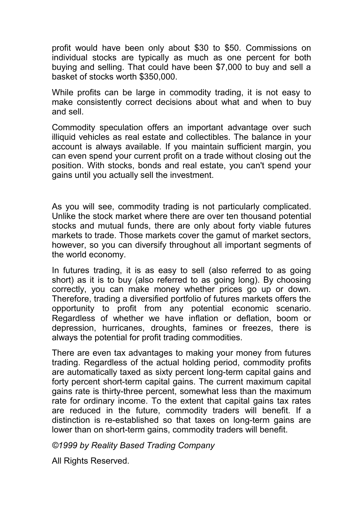profit would have been only about \$30 to \$50. Commissions on individual stocks are typically as much as one percent for both buying and selling. That could have been \$7,000 to buy and sell a basket of stocks worth \$350,000.

While profits can be large in commodity trading, it is not easy to make consistently correct decisions about what and when to buy and sell.

Commodity speculation offers an important advantage over such illiquid vehicles as real estate and collectibles. The balance in your account is always available. If you maintain sufficient margin, you can even spend your current profit on a trade without closing out the position. With stocks, bonds and real estate, you can't spend your gains until you actually sell the investment.

As you will see, commodity trading is not particularly complicated. Unlike the stock market where there are over ten thousand potential stocks and mutual funds, there are only about forty viable futures markets to trade. Those markets cover the gamut of market sectors, however, so you can diversify throughout all important segments of the world economy.

In futures trading, it is as easy to sell (also referred to as going short) as it is to buy (also referred to as going long). By choosing correctly, you can make money whether prices go up or down. Therefore, trading a diversified portfolio of futures markets offers the opportunity to profit from any potential economic scenario. Regardless of whether we have inflation or deflation, boom or depression, hurricanes, droughts, famines or freezes, there is always the potential for profit trading commodities.

There are even tax advantages to making your money from futures trading. Regardless of the actual holding period, commodity profits are automatically taxed as sixty percent long-term capital gains and forty percent short-term capital gains. The current maximum capital gains rate is thirty-three percent, somewhat less than the maximum rate for ordinary income. To the extent that capital gains tax rates are reduced in the future, commodity traders will benefit. If a distinction is re-established so that taxes on long-term gains are lower than on short-term gains, commodity traders will benefit.

*©1999 by Reality Based Trading Company*

All Rights Reserved.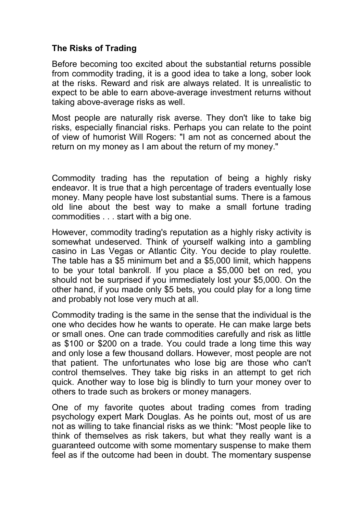## **The Risks of Trading**

Before becoming too excited about the substantial returns possible from commodity trading, it is a good idea to take a long, sober look at the risks. Reward and risk are always related. It is unrealistic to expect to be able to earn above-average investment returns without taking above-average risks as well.

Most people are naturally risk averse. They don't like to take big risks, especially financial risks. Perhaps you can relate to the point of view of humorist Will Rogers: "I am not as concerned about the return on my money as I am about the return of my money."

Commodity trading has the reputation of being a highly risky endeavor. It is true that a high percentage of traders eventually lose money. Many people have lost substantial sums. There is a famous old line about the best way to make a small fortune trading commodities . . . start with a big one.

However, commodity trading's reputation as a highly risky activity is somewhat undeserved. Think of yourself walking into a gambling casino in Las Vegas or Atlantic City. You decide to play roulette. The table has a \$5 minimum bet and a \$5,000 limit, which happens to be your total bankroll. If you place a \$5,000 bet on red, you should not be surprised if you immediately lost your \$5,000. On the other hand, if you made only \$5 bets, you could play for a long time and probably not lose very much at all.

Commodity trading is the same in the sense that the individual is the one who decides how he wants to operate. He can make large bets or small ones. One can trade commodities carefully and risk as little as \$100 or \$200 on a trade. You could trade a long time this way and only lose a few thousand dollars. However, most people are not that patient. The unfortunates who lose big are those who can't control themselves. They take big risks in an attempt to get rich quick. Another way to lose big is blindly to turn your money over to others to trade such as brokers or money managers.

One of my favorite quotes about trading comes from trading psychology expert Mark Douglas. As he points out, most of us are not as willing to take financial risks as we think: "Most people like to think of themselves as risk takers, but what they really want is a guaranteed outcome with some momentary suspense to make them feel as if the outcome had been in doubt. The momentary suspense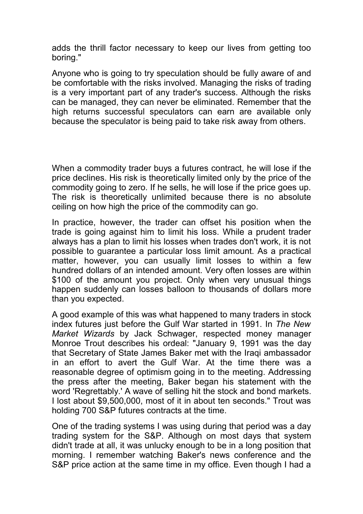adds the thrill factor necessary to keep our lives from getting too boring."

Anyone who is going to try speculation should be fully aware of and be comfortable with the risks involved. Managing the risks of trading is a very important part of any trader's success. Although the risks can be managed, they can never be eliminated. Remember that the high returns successful speculators can earn are available only because the speculator is being paid to take risk away from others.

When a commodity trader buys a futures contract, he will lose if the price declines. His risk is theoretically limited only by the price of the commodity going to zero. If he sells, he will lose if the price goes up. The risk is theoretically unlimited because there is no absolute ceiling on how high the price of the commodity can go.

In practice, however, the trader can offset his position when the trade is going against him to limit his loss. While a prudent trader always has a plan to limit his losses when trades don't work, it is not possible to guarantee a particular loss limit amount. As a practical matter, however, you can usually limit losses to within a few hundred dollars of an intended amount. Very often losses are within \$100 of the amount you project. Only when very unusual things happen suddenly can losses balloon to thousands of dollars more than you expected.

A good example of this was what happened to many traders in stock index futures just before the Gulf War started in 1991. In *The New Market Wizards* by Jack Schwager, respected money manager Monroe Trout describes his ordeal: "January 9, 1991 was the day that Secretary of State James Baker met with the Iraqi ambassador in an effort to avert the Gulf War. At the time there was a reasonable degree of optimism going in to the meeting. Addressing the press after the meeting, Baker began his statement with the word 'Regrettably.' A wave of selling hit the stock and bond markets. I lost about \$9,500,000, most of it in about ten seconds." Trout was holding 700 S&P futures contracts at the time.

One of the trading systems I was using during that period was a day trading system for the S&P. Although on most days that system didn't trade at all, it was unlucky enough to be in a long position that morning. I remember watching Baker's news conference and the S&P price action at the same time in my office. Even though I had a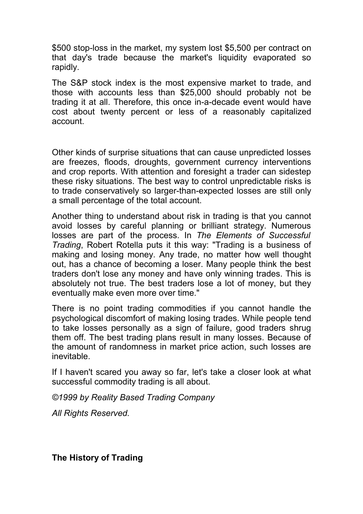\$500 stop-loss in the market, my system lost \$5,500 per contract on that day's trade because the market's liquidity evaporated so rapidly.

The S&P stock index is the most expensive market to trade, and those with accounts less than \$25,000 should probably not be trading it at all. Therefore, this once in-a-decade event would have cost about twenty percent or less of a reasonably capitalized account.

Other kinds of surprise situations that can cause unpredicted losses are freezes, floods, droughts, government currency interventions and crop reports. With attention and foresight a trader can sidestep these risky situations. The best way to control unpredictable risks is to trade conservatively so larger-than-expected losses are still only a small percentage of the total account.

Another thing to understand about risk in trading is that you cannot avoid losses by careful planning or brilliant strategy. Numerous losses are part of the process. In *The Elements of Successful Trading*, Robert Rotella puts it this way: "Trading is a business of making and losing money. Any trade, no matter how well thought out, has a chance of becoming a loser. Many people think the best traders don't lose any money and have only winning trades. This is absolutely not true. The best traders lose a lot of money, but they eventually make even more over time."

There is no point trading commodities if you cannot handle the psychological discomfort of making losing trades. While people tend to take losses personally as a sign of failure, good traders shrug them off. The best trading plans result in many losses. Because of the amount of randomness in market price action, such losses are inevitable.

If I haven't scared you away so far, let's take a closer look at what successful commodity trading is all about.

*©1999 by Reality Based Trading Company*

*All Rights Reserved.*

**The History of Trading**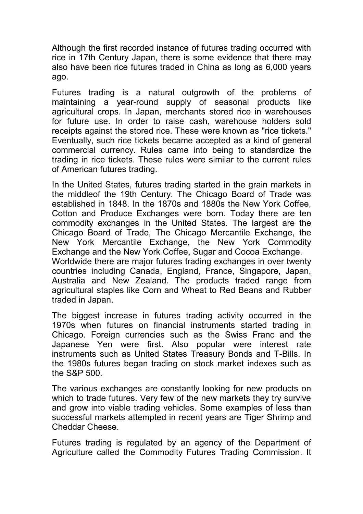Although the first recorded instance of futures trading occurred with rice in 17th Century Japan, there is some evidence that there may also have been rice futures traded in China as long as 6,000 years ago.

Futures trading is a natural outgrowth of the problems of maintaining a year-round supply of seasonal products like agricultural crops. In Japan, merchants stored rice in warehouses for future use. In order to raise cash, warehouse holders sold receipts against the stored rice. These were known as "rice tickets." Eventually, such rice tickets became accepted as a kind of general commercial currency. Rules came into being to standardize the trading in rice tickets. These rules were similar to the current rules of American futures trading.

In the United States, futures trading started in the grain markets in the middleof the 19th Century. The Chicago Board of Trade was established in 1848. In the 1870s and 1880s the New York Coffee, Cotton and Produce Exchanges were born. Today there are ten commodity exchanges in the United States. The largest are the Chicago Board of Trade, The Chicago Mercantile Exchange, the New York Mercantile Exchange, the New York Commodity Exchange and the New York Coffee, Sugar and Cocoa Exchange. Worldwide there are major futures trading exchanges in over twenty countries including Canada, England, France, Singapore, Japan, Australia and New Zealand. The products traded range from agricultural staples like Corn and Wheat to Red Beans and Rubber traded in Japan.

The biggest increase in futures trading activity occurred in the 1970s when futures on financial instruments started trading in Chicago. Foreign currencies such as the Swiss Franc and the Japanese Yen were first. Also popular were interest rate instruments such as United States Treasury Bonds and T-Bills. In the 1980s futures began trading on stock market indexes such as the S&P 500.

The various exchanges are constantly looking for new products on which to trade futures. Very few of the new markets they try survive and grow into viable trading vehicles. Some examples of less than successful markets attempted in recent years are Tiger Shrimp and Cheddar Cheese.

Futures trading is regulated by an agency of the Department of Agriculture called the Commodity Futures Trading Commission. It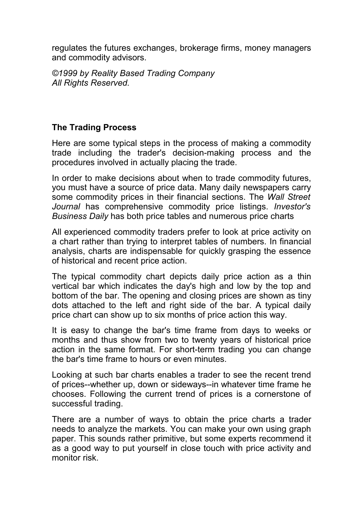regulates the futures exchanges, brokerage firms, money managers and commodity advisors.

*©1999 by Reality Based Trading Company All Rights Reserved.*

## **The Trading Process**

Here are some typical steps in the process of making a commodity trade including the trader's decision-making process and the procedures involved in actually placing the trade.

In order to make decisions about when to trade commodity futures, you must have a source of price data. Many daily newspapers carry some commodity prices in their financial sections. The *Wall Street Journal* has comprehensive commodity price listings. *Investor's Business Daily* has both price tables and numerous price charts

All experienced commodity traders prefer to look at price activity on a chart rather than trying to interpret tables of numbers. In financial analysis, charts are indispensable for quickly grasping the essence of historical and recent price action.

The typical commodity chart depicts daily price action as a thin vertical bar which indicates the day's high and low by the top and bottom of the bar. The opening and closing prices are shown as tiny dots attached to the left and right side of the bar. A typical daily price chart can show up to six months of price action this way.

It is easy to change the bar's time frame from days to weeks or months and thus show from two to twenty years of historical price action in the same format. For short-term trading you can change the bar's time frame to hours or even minutes.

Looking at such bar charts enables a trader to see the recent trend of prices--whether up, down or sideways--in whatever time frame he chooses. Following the current trend of prices is a cornerstone of successful trading.

There are a number of ways to obtain the price charts a trader needs to analyze the markets. You can make your own using graph paper. This sounds rather primitive, but some experts recommend it as a good way to put yourself in close touch with price activity and monitor risk.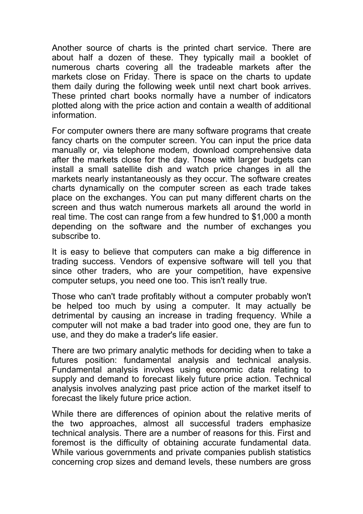Another source of charts is the printed chart service. There are about half a dozen of these. They typically mail a booklet of numerous charts covering all the tradeable markets after the markets close on Friday. There is space on the charts to update them daily during the following week until next chart book arrives. These printed chart books normally have a number of indicators plotted along with the price action and contain a wealth of additional information.

For computer owners there are many software programs that create fancy charts on the computer screen. You can input the price data manually or, via telephone modem, download comprehensive data after the markets close for the day. Those with larger budgets can install a small satellite dish and watch price changes in all the markets nearly instantaneously as they occur. The software creates charts dynamically on the computer screen as each trade takes place on the exchanges. You can put many different charts on the screen and thus watch numerous markets all around the world in real time. The cost can range from a few hundred to \$1,000 a month depending on the software and the number of exchanges you subscribe to.

It is easy to believe that computers can make a big difference in trading success. Vendors of expensive software will tell you that since other traders, who are your competition, have expensive computer setups, you need one too. This isn't really true.

Those who can't trade profitably without a computer probably won't be helped too much by using a computer. It may actually be detrimental by causing an increase in trading frequency. While a computer will not make a bad trader into good one, they are fun to use, and they do make a trader's life easier.

There are two primary analytic methods for deciding when to take a futures position: fundamental analysis and technical analysis. Fundamental analysis involves using economic data relating to supply and demand to forecast likely future price action. Technical analysis involves analyzing past price action of the market itself to forecast the likely future price action.

While there are differences of opinion about the relative merits of the two approaches, almost all successful traders emphasize technical analysis. There are a number of reasons for this. First and foremost is the difficulty of obtaining accurate fundamental data. While various governments and private companies publish statistics concerning crop sizes and demand levels, these numbers are gross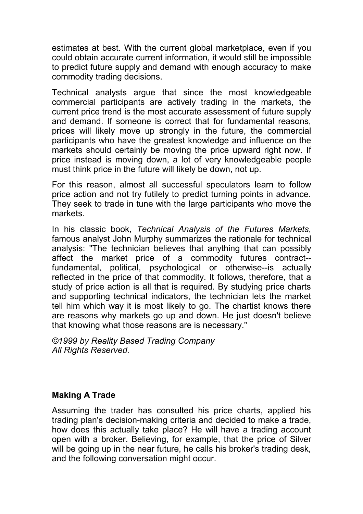estimates at best. With the current global marketplace, even if you could obtain accurate current information, it would still be impossible to predict future supply and demand with enough accuracy to make commodity trading decisions.

Technical analysts argue that since the most knowledgeable commercial participants are actively trading in the markets, the current price trend is the most accurate assessment of future supply and demand. If someone is correct that for fundamental reasons, prices will likely move up strongly in the future, the commercial participants who have the greatest knowledge and influence on the markets should certainly be moving the price upward right now. If price instead is moving down, a lot of very knowledgeable people must think price in the future will likely be down, not up.

For this reason, almost all successful speculators learn to follow price action and not try futilely to predict turning points in advance. They seek to trade in tune with the large participants who move the markets.

In his classic book, *Technical Analysis of the Futures Markets*, famous analyst John Murphy summarizes the rationale for technical analysis: "The technician believes that anything that can possibly affect the market price of a commodity futures contract- fundamental, political, psychological or otherwise--is actually reflected in the price of that commodity. It follows, therefore, that a study of price action is all that is required. By studying price charts and supporting technical indicators, the technician lets the market tell him which way it is most likely to go. The chartist knows there are reasons why markets go up and down. He just doesn't believe that knowing what those reasons are is necessary."

*©1999 by Reality Based Trading Company All Rights Reserved.*

## **Making A Trade**

Assuming the trader has consulted his price charts, applied his trading plan's decision-making criteria and decided to make a trade, how does this actually take place? He will have a trading account open with a broker. Believing, for example, that the price of Silver will be going up in the near future, he calls his broker's trading desk, and the following conversation might occur.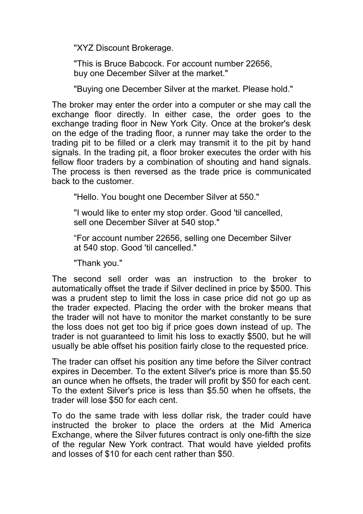"XYZ Discount Brokerage.

"This is Bruce Babcock. For account number 22656, buy one December Silver at the market."

"Buying one December Silver at the market. Please hold."

The broker may enter the order into a computer or she may call the exchange floor directly. In either case, the order goes to the exchange trading floor in New York City. Once at the broker's desk on the edge of the trading floor, a runner may take the order to the trading pit to be filled or a clerk may transmit it to the pit by hand signals. In the trading pit, a floor broker executes the order with his fellow floor traders by a combination of shouting and hand signals. The process is then reversed as the trade price is communicated back to the customer.

"Hello. You bought one December Silver at 550."

"I would like to enter my stop order. Good 'til cancelled, sell one December Silver at 540 stop."

"For account number 22656, selling one December Silver at 540 stop. Good 'til cancelled."

"Thank you."

The second sell order was an instruction to the broker to automatically offset the trade if Silver declined in price by \$500. This was a prudent step to limit the loss in case price did not go up as the trader expected. Placing the order with the broker means that the trader will not have to monitor the market constantly to be sure the loss does not get too big if price goes down instead of up. The trader is not guaranteed to limit his loss to exactly \$500, but he will usually be able offset his position fairly close to the requested price.

The trader can offset his position any time before the Silver contract expires in December. To the extent Silver's price is more than \$5.50 an ounce when he offsets, the trader will profit by \$50 for each cent. To the extent Silver's price is less than \$5.50 when he offsets, the trader will lose \$50 for each cent.

To do the same trade with less dollar risk, the trader could have instructed the broker to place the orders at the Mid America Exchange, where the Silver futures contract is only one-fifth the size of the regular New York contract. That would have yielded profits and losses of \$10 for each cent rather than \$50.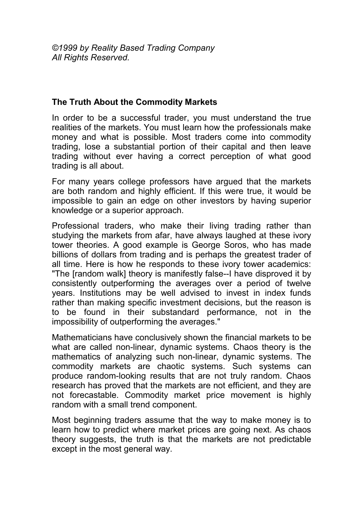#### **The Truth About the Commodity Markets**

In order to be a successful trader, you must understand the true realities of the markets. You must learn how the professionals make money and what is possible. Most traders come into commodity trading, lose a substantial portion of their capital and then leave trading without ever having a correct perception of what good trading is all about.

For many years college professors have argued that the markets are both random and highly efficient. If this were true, it would be impossible to gain an edge on other investors by having superior knowledge or a superior approach.

Professional traders, who make their living trading rather than studying the markets from afar, have always laughed at these ivory tower theories. A good example is George Soros, who has made billions of dollars from trading and is perhaps the greatest trader of all time. Here is how he responds to these ivory tower academics: "The [random walk] theory is manifestly false--I have disproved it by consistently outperforming the averages over a period of twelve years. Institutions may be well advised to invest in index funds rather than making specific investment decisions, but the reason is to be found in their substandard performance, not in the impossibility of outperforming the averages."

Mathematicians have conclusively shown the financial markets to be what are called non-linear, dynamic systems. Chaos theory is the mathematics of analyzing such non-linear, dynamic systems. The commodity markets are chaotic systems. Such systems can produce random-looking results that are not truly random. Chaos research has proved that the markets are not efficient, and they are not forecastable. Commodity market price movement is highly random with a small trend component.

Most beginning traders assume that the way to make money is to learn how to predict where market prices are going next. As chaos theory suggests, the truth is that the markets are not predictable except in the most general way.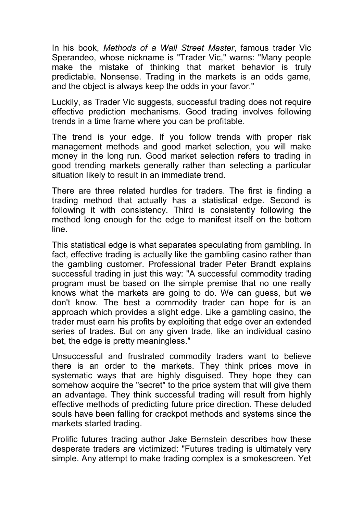In his book, *Methods of a Wall Street Master*, famous trader Vic Sperandeo, whose nickname is "Trader Vic," warns: "Many people make the mistake of thinking that market behavior is truly predictable. Nonsense. Trading in the markets is an odds game, and the object is always keep the odds in your favor."

Luckily, as Trader Vic suggests, successful trading does not require effective prediction mechanisms. Good trading involves following trends in a time frame where you can be profitable.

The trend is your edge. If you follow trends with proper risk management methods and good market selection, you will make money in the long run. Good market selection refers to trading in good trending markets generally rather than selecting a particular situation likely to result in an immediate trend.

There are three related hurdles for traders. The first is finding a trading method that actually has a statistical edge. Second is following it with consistency. Third is consistently following the method long enough for the edge to manifest itself on the bottom line.

This statistical edge is what separates speculating from gambling. In fact, effective trading is actually like the gambling casino rather than the gambling customer. Professional trader Peter Brandt explains successful trading in just this way: "A successful commodity trading program must be based on the simple premise that no one really knows what the markets are going to do. We can guess, but we don't know. The best a commodity trader can hope for is an approach which provides a slight edge. Like a gambling casino, the trader must earn his profits by exploiting that edge over an extended series of trades. But on any given trade, like an individual casino bet, the edge is pretty meaningless."

Unsuccessful and frustrated commodity traders want to believe there is an order to the markets. They think prices move in systematic ways that are highly disguised. They hope they can somehow acquire the "secret" to the price system that will give them an advantage. They think successful trading will result from highly effective methods of predicting future price direction. These deluded souls have been falling for crackpot methods and systems since the markets started trading.

Prolific futures trading author Jake Bernstein describes how these desperate traders are victimized: "Futures trading is ultimately very simple. Any attempt to make trading complex is a smokescreen. Yet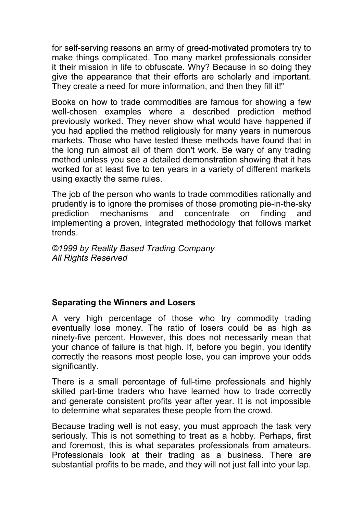for self-serving reasons an army of greed-motivated promoters try to make things complicated. Too many market professionals consider it their mission in life to obfuscate. Why? Because in so doing they give the appearance that their efforts are scholarly and important. They create a need for more information, and then they fill it!"

Books on how to trade commodities are famous for showing a few well-chosen examples where a described prediction method previously worked. They never show what would have happened if you had applied the method religiously for many years in numerous markets. Those who have tested these methods have found that in the long run almost all of them don't work. Be wary of any trading method unless you see a detailed demonstration showing that it has worked for at least five to ten years in a variety of different markets using exactly the same rules.

The job of the person who wants to trade commodities rationally and prudently is to ignore the promises of those promoting pie-in-the-sky prediction mechanisms and concentrate on finding and implementing a proven, integrated methodology that follows market trends.

*©1999 by Reality Based Trading Company All Rights Reserved*

## **Separating the Winners and Losers**

A very high percentage of those who try commodity trading eventually lose money. The ratio of losers could be as high as ninety-five percent. However, this does not necessarily mean that your chance of failure is that high. If, before you begin, you identify correctly the reasons most people lose, you can improve your odds significantly.

There is a small percentage of full-time professionals and highly skilled part-time traders who have learned how to trade correctly and generate consistent profits year after year. It is not impossible to determine what separates these people from the crowd.

Because trading well is not easy, you must approach the task very seriously. This is not something to treat as a hobby. Perhaps, first and foremost, this is what separates professionals from amateurs. Professionals look at their trading as a business. There are substantial profits to be made, and they will not just fall into your lap.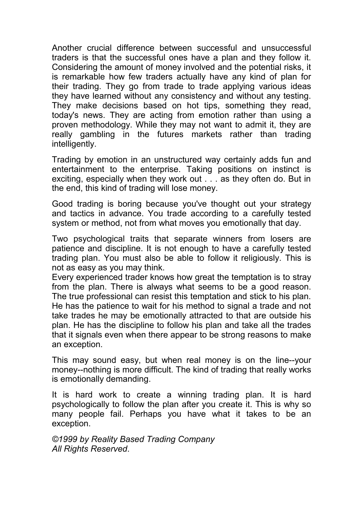Another crucial difference between successful and unsuccessful traders is that the successful ones have a plan and they follow it. Considering the amount of money involved and the potential risks, it is remarkable how few traders actually have any kind of plan for their trading. They go from trade to trade applying various ideas they have learned without any consistency and without any testing. They make decisions based on hot tips, something they read, today's news. They are acting from emotion rather than using a proven methodology. While they may not want to admit it, they are really gambling in the futures markets rather than trading intelligently.

Trading by emotion in an unstructured way certainly adds fun and entertainment to the enterprise. Taking positions on instinct is exciting, especially when they work out . . . as they often do. But in the end, this kind of trading will lose money.

Good trading is boring because you've thought out your strategy and tactics in advance. You trade according to a carefully tested system or method, not from what moves you emotionally that day.

Two psychological traits that separate winners from losers are patience and discipline. It is not enough to have a carefully tested trading plan. You must also be able to follow it religiously. This is not as easy as you may think.

Every experienced trader knows how great the temptation is to stray from the plan. There is always what seems to be a good reason. The true professional can resist this temptation and stick to his plan. He has the patience to wait for his method to signal a trade and not take trades he may be emotionally attracted to that are outside his plan. He has the discipline to follow his plan and take all the trades that it signals even when there appear to be strong reasons to make an exception.

This may sound easy, but when real money is on the line--your money--nothing is more difficult. The kind of trading that really works is emotionally demanding.

It is hard work to create a winning trading plan. It is hard psychologically to follow the plan after you create it. This is why so many people fail. Perhaps you have what it takes to be an exception.

*©1999 by Reality Based Trading Company All Rights Reserved*.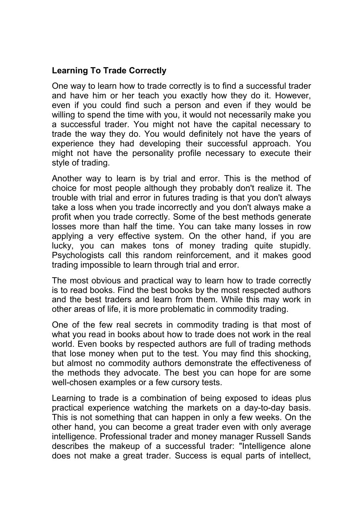#### **Learning To Trade Correctly**

One way to learn how to trade correctly is to find a successful trader and have him or her teach you exactly how they do it. However, even if you could find such a person and even if they would be willing to spend the time with you, it would not necessarily make you a successful trader. You might not have the capital necessary to trade the way they do. You would definitely not have the years of experience they had developing their successful approach. You might not have the personality profile necessary to execute their style of trading.

Another way to learn is by trial and error. This is the method of choice for most people although they probably don't realize it. The trouble with trial and error in futures trading is that you don't always take a loss when you trade incorrectly and you don't always make a profit when you trade correctly. Some of the best methods generate losses more than half the time. You can take many losses in row applying a very effective system. On the other hand, if you are lucky, you can makes tons of money trading quite stupidly. Psychologists call this random reinforcement, and it makes good trading impossible to learn through trial and error.

The most obvious and practical way to learn how to trade correctly is to read books. Find the best books by the most respected authors and the best traders and learn from them. While this may work in other areas of life, it is more problematic in commodity trading.

One of the few real secrets in commodity trading is that most of what you read in books about how to trade does not work in the real world. Even books by respected authors are full of trading methods that lose money when put to the test. You may find this shocking, but almost no commodity authors demonstrate the effectiveness of the methods they advocate. The best you can hope for are some well-chosen examples or a few cursory tests.

Learning to trade is a combination of being exposed to ideas plus practical experience watching the markets on a day-to-day basis. This is not something that can happen in only a few weeks. On the other hand, you can become a great trader even with only average intelligence. Professional trader and money manager Russell Sands describes the makeup of a successful trader: "Intelligence alone does not make a great trader. Success is equal parts of intellect,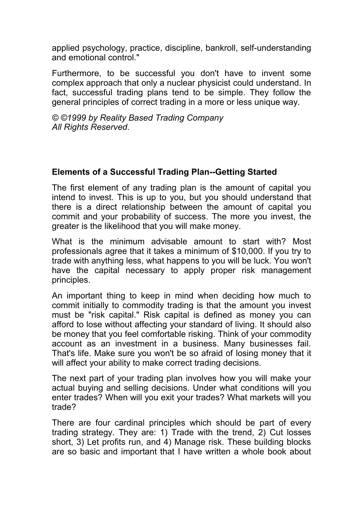applied psychology, practice, discipline, bankroll, self-understanding and emotional control."

Furthermore, to be successful you don't have to invent some complex approach that only a nuclear physicist could understand. In fact, successful trading plans tend to be simple. They follow the general principles of correct trading in a more or less unique way.

*© ©1999 by Reality Based Trading Company All Rights Reserved*.

#### **Elements of a Successful Trading Plan--Getting Started**

The first element of any trading plan is the amount of capital you intend to invest. This is up to you, but you should understand that there is a direct relationship between the amount of capital you commit and your probability of success. The more you invest, the greater is the likelihood that you will make money.

What is the minimum advisable amount to start with? Most professionals agree that it takes a minimum of \$10,000. If you try to trade with anything less, what happens to you will be luck. You won't have the capital necessary to apply proper risk management principles.

An important thing to keep in mind when deciding how much to commit initially to commodity trading is that the amount you invest must be "risk capital." Risk capital is defined as money you can afford to lose without affecting your standard of living. It should also be money that you feel comfortable risking. Think of your commodity account as an investment in a business. Many businesses fail. That's life. Make sure you won't be so afraid of losing money that it will affect your ability to make correct trading decisions.

The next part of your trading plan involves how you will make your actual buying and selling decisions. Under what conditions will you enter trades? When will you exit your trades? What markets will you trade?

There are four cardinal principles which should be part of every trading strategy. They are: 1) Trade with the trend, 2) Cut losses short, 3) Let profits run, and 4) Manage risk. These building blocks are so basic and important that I have written a whole book about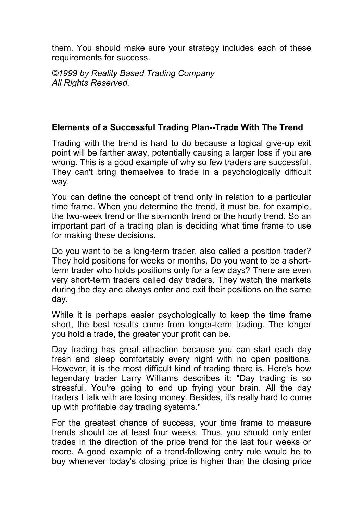them. You should make sure your strategy includes each of these requirements for success.

*©1999 by Reality Based Trading Company All Rights Reserved.*

## **Elements of a Successful Trading Plan--Trade With The Trend**

Trading with the trend is hard to do because a logical give-up exit point will be farther away, potentially causing a larger loss if you are wrong. This is a good example of why so few traders are successful. They can't bring themselves to trade in a psychologically difficult way.

You can define the concept of trend only in relation to a particular time frame. When you determine the trend, it must be, for example, the two-week trend or the six-month trend or the hourly trend. So an important part of a trading plan is deciding what time frame to use for making these decisions.

Do you want to be a long-term trader, also called a position trader? They hold positions for weeks or months. Do you want to be a shortterm trader who holds positions only for a few days? There are even very short-term traders called day traders. They watch the markets during the day and always enter and exit their positions on the same day.

While it is perhaps easier psychologically to keep the time frame short, the best results come from longer-term trading. The longer you hold a trade, the greater your profit can be.

Day trading has great attraction because you can start each day fresh and sleep comfortably every night with no open positions. However, it is the most difficult kind of trading there is. Here's how legendary trader Larry Williams describes it: "Day trading is so stressful. You're going to end up frying your brain. All the day traders I talk with are losing money. Besides, it's really hard to come up with profitable day trading systems."

For the greatest chance of success, your time frame to measure trends should be at least four weeks. Thus, you should only enter trades in the direction of the price trend for the last four weeks or more. A good example of a trend-following entry rule would be to buy whenever today's closing price is higher than the closing price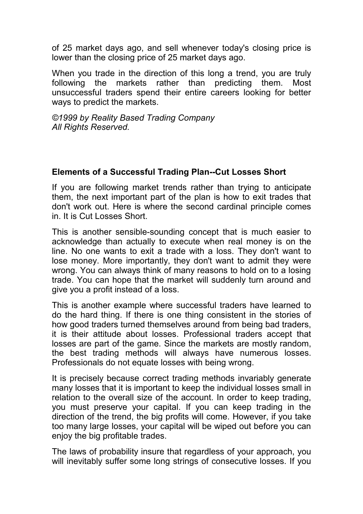of 25 market days ago, and sell whenever today's closing price is lower than the closing price of 25 market days ago.

When you trade in the direction of this long a trend, you are truly following the markets rather than predicting them. Most unsuccessful traders spend their entire careers looking for better ways to predict the markets.

*©1999 by Reality Based Trading Company All Rights Reserved.*

#### **Elements of a Successful Trading Plan--Cut Losses Short**

If you are following market trends rather than trying to anticipate them, the next important part of the plan is how to exit trades that don't work out. Here is where the second cardinal principle comes in. It is Cut Losses Short.

This is another sensible-sounding concept that is much easier to acknowledge than actually to execute when real money is on the line. No one wants to exit a trade with a loss. They don't want to lose money. More importantly, they don't want to admit they were wrong. You can always think of many reasons to hold on to a losing trade. You can hope that the market will suddenly turn around and give you a profit instead of a loss.

This is another example where successful traders have learned to do the hard thing. If there is one thing consistent in the stories of how good traders turned themselves around from being bad traders, it is their attitude about losses. Professional traders accept that losses are part of the game. Since the markets are mostly random, the best trading methods will always have numerous losses. Professionals do not equate losses with being wrong.

It is precisely because correct trading methods invariably generate many losses that it is important to keep the individual losses small in relation to the overall size of the account. In order to keep trading, you must preserve your capital. If you can keep trading in the direction of the trend, the big profits will come. However, if you take too many large losses, your capital will be wiped out before you can enjoy the big profitable trades.

The laws of probability insure that regardless of your approach, you will inevitably suffer some long strings of consecutive losses. If you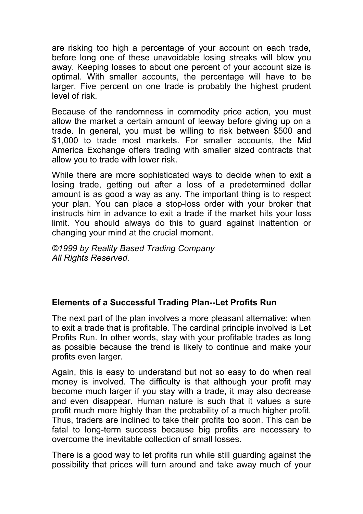are risking too high a percentage of your account on each trade, before long one of these unavoidable losing streaks will blow you away. Keeping losses to about one percent of your account size is optimal. With smaller accounts, the percentage will have to be larger. Five percent on one trade is probably the highest prudent level of risk.

Because of the randomness in commodity price action, you must allow the market a certain amount of leeway before giving up on a trade. In general, you must be willing to risk between \$500 and \$1,000 to trade most markets. For smaller accounts, the Mid America Exchange offers trading with smaller sized contracts that allow you to trade with lower risk.

While there are more sophisticated ways to decide when to exit a losing trade, getting out after a loss of a predetermined dollar amount is as good a way as any. The important thing is to respect your plan. You can place a stop-loss order with your broker that instructs him in advance to exit a trade if the market hits your loss limit. You should always do this to guard against inattention or changing your mind at the crucial moment.

*©1999 by Reality Based Trading Company All Rights Reserved.*

## **Elements of a Successful Trading Plan--Let Profits Run**

The next part of the plan involves a more pleasant alternative: when to exit a trade that is profitable. The cardinal principle involved is Let Profits Run. In other words, stay with your profitable trades as long as possible because the trend is likely to continue and make your profits even larger.

Again, this is easy to understand but not so easy to do when real money is involved. The difficulty is that although your profit may become much larger if you stay with a trade, it may also decrease and even disappear. Human nature is such that it values a sure profit much more highly than the probability of a much higher profit. Thus, traders are inclined to take their profits too soon. This can be fatal to long-term success because big profits are necessary to overcome the inevitable collection of small losses.

There is a good way to let profits run while still guarding against the possibility that prices will turn around and take away much of your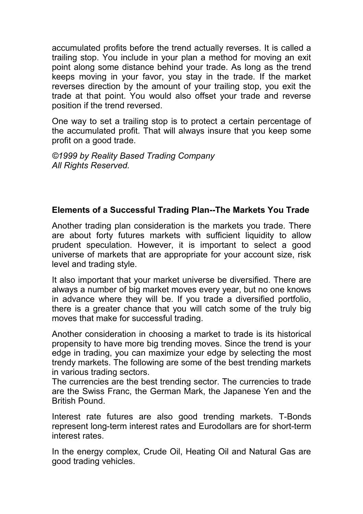accumulated profits before the trend actually reverses. It is called a trailing stop. You include in your plan a method for moving an exit point along some distance behind your trade. As long as the trend keeps moving in your favor, you stay in the trade. If the market reverses direction by the amount of your trailing stop, you exit the trade at that point. You would also offset your trade and reverse position if the trend reversed.

One way to set a trailing stop is to protect a certain percentage of the accumulated profit. That will always insure that you keep some profit on a good trade.

*©1999 by Reality Based Trading Company All Rights Reserved.*

### **Elements of a Successful Trading Plan--The Markets You Trade**

Another trading plan consideration is the markets you trade. There are about forty futures markets with sufficient liquidity to allow prudent speculation. However, it is important to select a good universe of markets that are appropriate for your account size, risk level and trading style.

It also important that your market universe be diversified. There are always a number of big market moves every year, but no one knows in advance where they will be. If you trade a diversified portfolio, there is a greater chance that you will catch some of the truly big moves that make for successful trading.

Another consideration in choosing a market to trade is its historical propensity to have more big trending moves. Since the trend is your edge in trading, you can maximize your edge by selecting the most trendy markets. The following are some of the best trending markets in various trading sectors.

The currencies are the best trending sector. The currencies to trade are the Swiss Franc, the German Mark, the Japanese Yen and the British Pound.

Interest rate futures are also good trending markets. T-Bonds represent long-term interest rates and Eurodollars are for short-term interest rates.

In the energy complex, Crude Oil, Heating Oil and Natural Gas are good trading vehicles.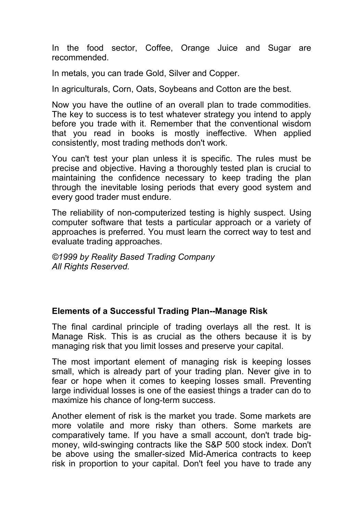In the food sector, Coffee, Orange Juice and Sugar are recommended.

In metals, you can trade Gold, Silver and Copper.

In agriculturals, Corn, Oats, Soybeans and Cotton are the best.

Now you have the outline of an overall plan to trade commodities. The key to success is to test whatever strategy you intend to apply before you trade with it. Remember that the conventional wisdom that you read in books is mostly ineffective. When applied consistently, most trading methods don't work.

You can't test your plan unless it is specific. The rules must be precise and objective. Having a thoroughly tested plan is crucial to maintaining the confidence necessary to keep trading the plan through the inevitable losing periods that every good system and every good trader must endure.

The reliability of non-computerized testing is highly suspect. Using computer software that tests a particular approach or a variety of approaches is preferred. You must learn the correct way to test and evaluate trading approaches.

*©1999 by Reality Based Trading Company All Rights Reserved.*

## **Elements of a Successful Trading Plan--Manage Risk**

The final cardinal principle of trading overlays all the rest. It is Manage Risk. This is as crucial as the others because it is by managing risk that you limit losses and preserve your capital.

The most important element of managing risk is keeping losses small, which is already part of your trading plan. Never give in to fear or hope when it comes to keeping losses small. Preventing large individual losses is one of the easiest things a trader can do to maximize his chance of long-term success.

Another element of risk is the market you trade. Some markets are more volatile and more risky than others. Some markets are comparatively tame. If you have a small account, don't trade bigmoney, wild-swinging contracts like the S&P 500 stock index. Don't be above using the smaller-sized Mid-America contracts to keep risk in proportion to your capital. Don't feel you have to trade any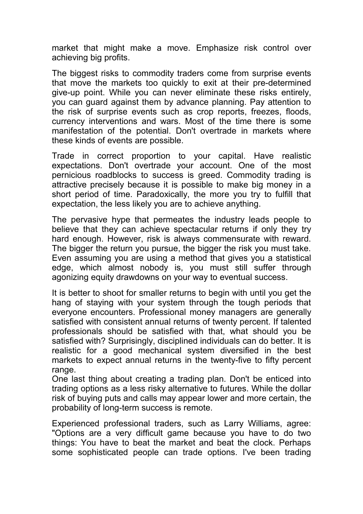market that might make a move. Emphasize risk control over achieving big profits.

The biggest risks to commodity traders come from surprise events that move the markets too quickly to exit at their pre-determined give-up point. While you can never eliminate these risks entirely, you can guard against them by advance planning. Pay attention to the risk of surprise events such as crop reports, freezes, floods, currency interventions and wars. Most of the time there is some manifestation of the potential. Don't overtrade in markets where these kinds of events are possible.

Trade in correct proportion to your capital. Have realistic expectations. Don't overtrade your account. One of the most pernicious roadblocks to success is greed. Commodity trading is attractive precisely because it is possible to make big money in a short period of time. Paradoxically, the more you try to fulfill that expectation, the less likely you are to achieve anything.

The pervasive hype that permeates the industry leads people to believe that they can achieve spectacular returns if only they try hard enough. However, risk is always commensurate with reward. The bigger the return you pursue, the bigger the risk you must take. Even assuming you are using a method that gives you a statistical edge, which almost nobody is, you must still suffer through agonizing equity drawdowns on your way to eventual success.

It is better to shoot for smaller returns to begin with until you get the hang of staying with your system through the tough periods that everyone encounters. Professional money managers are generally satisfied with consistent annual returns of twenty percent. If talented professionals should be satisfied with that, what should you be satisfied with? Surprisingly, disciplined individuals can do better. It is realistic for a good mechanical system diversified in the best markets to expect annual returns in the twenty-five to fifty percent range.

One last thing about creating a trading plan. Don't be enticed into trading options as a less risky alternative to futures. While the dollar risk of buying puts and calls may appear lower and more certain, the probability of long-term success is remote.

Experienced professional traders, such as Larry Williams, agree: "Options are a very difficult game because you have to do two things: You have to beat the market and beat the clock. Perhaps some sophisticated people can trade options. I've been trading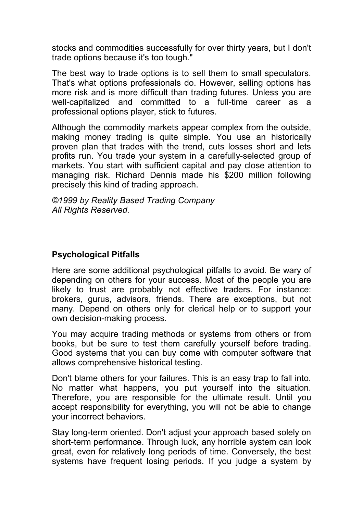stocks and commodities successfully for over thirty years, but I don't trade options because it's too tough."

The best way to trade options is to sell them to small speculators. That's what options professionals do. However, selling options has more risk and is more difficult than trading futures. Unless you are well-capitalized and committed to a full-time career as a professional options player, stick to futures.

Although the commodity markets appear complex from the outside, making money trading is quite simple. You use an historically proven plan that trades with the trend, cuts losses short and lets profits run. You trade your system in a carefully-selected group of markets. You start with sufficient capital and pay close attention to managing risk. Richard Dennis made his \$200 million following precisely this kind of trading approach.

*©1999 by Reality Based Trading Company All Rights Reserved.*

## **Psychological Pitfalls**

Here are some additional psychological pitfalls to avoid. Be wary of depending on others for your success. Most of the people you are likely to trust are probably not effective traders. For instance: brokers, gurus, advisors, friends. There are exceptions, but not many. Depend on others only for clerical help or to support your own decision-making process.

You may acquire trading methods or systems from others or from books, but be sure to test them carefully yourself before trading. Good systems that you can buy come with computer software that allows comprehensive historical testing.

Don't blame others for your failures. This is an easy trap to fall into. No matter what happens, you put yourself into the situation. Therefore, you are responsible for the ultimate result. Until you accept responsibility for everything, you will not be able to change your incorrect behaviors.

Stay long-term oriented. Don't adjust your approach based solely on short-term performance. Through luck, any horrible system can look great, even for relatively long periods of time. Conversely, the best systems have frequent losing periods. If you judge a system by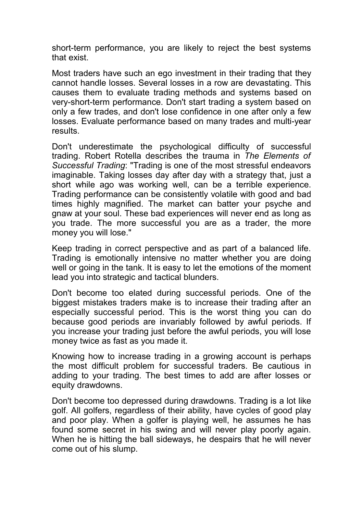short-term performance, you are likely to reject the best systems that exist.

Most traders have such an ego investment in their trading that they cannot handle losses. Several losses in a row are devastating. This causes them to evaluate trading methods and systems based on very-short-term performance. Don't start trading a system based on only a few trades, and don't lose confidence in one after only a few losses. Evaluate performance based on many trades and multi-year results.

Don't underestimate the psychological difficulty of successful trading. Robert Rotella describes the trauma in *The Elements of Successful Trading*: "Trading is one of the most stressful endeavors imaginable. Taking losses day after day with a strategy that, just a short while ago was working well, can be a terrible experience. Trading performance can be consistently volatile with good and bad times highly magnified. The market can batter your psyche and gnaw at your soul. These bad experiences will never end as long as you trade. The more successful you are as a trader, the more money you will lose."

Keep trading in correct perspective and as part of a balanced life. Trading is emotionally intensive no matter whether you are doing well or going in the tank. It is easy to let the emotions of the moment lead you into strategic and tactical blunders.

Don't become too elated during successful periods. One of the biggest mistakes traders make is to increase their trading after an especially successful period. This is the worst thing you can do because good periods are invariably followed by awful periods. If you increase your trading just before the awful periods, you will lose money twice as fast as you made it.

Knowing how to increase trading in a growing account is perhaps the most difficult problem for successful traders. Be cautious in adding to your trading. The best times to add are after losses or equity drawdowns.

Don't become too depressed during drawdowns. Trading is a lot like golf. All golfers, regardless of their ability, have cycles of good play and poor play. When a golfer is playing well, he assumes he has found some secret in his swing and will never play poorly again. When he is hitting the ball sideways, he despairs that he will never come out of his slump.